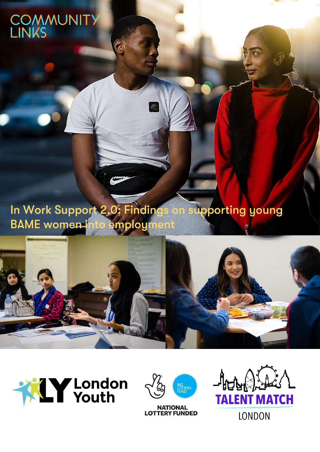# COMMUNITY<br>LINKS

0: Finding In Work Support **Upporting young** o Ta **BAME** women-j ploun

<u>NDC</u>







**NATIONAL<br>LOTTERY FUNDED** 

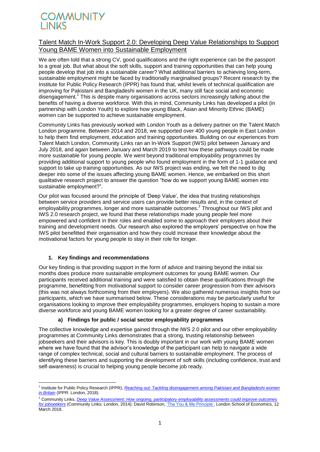### Talent Match In-Work Support 2.0: Developing Deep Value Relationships to Support Young BAME Women into Sustainable Employment

We are often told that a strong CV, good qualifications and the right experience can be the passport to a great job. But what about the soft skills, support and training opportunities that can help young people develop that job into a sustainable career? What additional barriers to achieving long-term, sustainable employment might be faced by traditionally marginalised groups? Recent research by the Institute for Public Policy Research (IPPR) has found that, whilst levels of technical qualification are improving for Pakistani and Bangladeshi women in the UK, many still face social and economic disengagement.<sup>1</sup> This is despite many organisations across sectors increasingly talking about the benefits of having a diverse workforce. With this in mind, Community Links has developed a pilot (in partnership with London Youth) to explore how young Black, Asian and Minority Ethnic (BAME) women can be supported to achieve sustainable employment.

Community Links has previously worked with London Youth as a delivery partner on the Talent Match London programme. Between 2014 and 2018, we supported over 400 young people in East London to help them find employment, education and training opportunities. Building on our experiences from Talent Match London, Community Links ran an In-Work Support (IWS) pilot between January and July 2018, and again between January and March 2019 to test how these pathways could be made more sustainable for young people. We went beyond traditional employability programmes by providing additional support to young people who found employment in the form of 1-1 guidance and support to take up training opportunities. As our IWS project was ending, we felt the need to dig deeper into some of the issues affecting young BAME women. Hence, we embarked on this short qualitative research project to answer the question "how do we support young BAME women into sustainable employment?".

Our pilot was focused around the principle of 'Deep Value', the idea that trusting relationships between service providers and service users can provide better results and, in the context of employability programmes, longer and more sustainable outcomes.<sup>2</sup> Throughout our IWS pilot and IWS 2.0 research project, we found that these relationships made young people feel more empowered and confident in their roles and enabled some to approach their employers about their training and development needs. Our research also explored the employers' perspective on how the IWS pilot benefitted their organisation and how they could increase their knowledge about the motivational factors for young people to stay in their role for longer.

### **1. Key findings and recommendations**

**.** 

Our key finding is that providing support in the form of advice and training beyond the initial six months does produce more sustainable employment outcomes for young BAME women. Our participants received additional training and were satisfied to obtain these qualifications through the programme, benefitting from motivational support to consider career progression from their advisors (this was not always forthcoming from their employers). We also gathered numerous insights from our participants, which we have summarised below. These considerations may be particularly useful for organisations looking to improve their employability programmes, employers hoping to sustain a more diverse workforce and young BAME women looking for a greater degree of career sustainability.

### **a) Findings for public / social sector employability programmes**

The collective knowledge and expertise gained through the IWS 2.0 pilot and our other employability programmes at Community Links demonstrates that a strong, trusting relationship between jobseekers and their advisors is key. This is doubly important in our work with young BAME women where we have found that the advisor's knowledge of the participant can help to navigate a wide range of complex technical, social and cultural barriers to sustainable employment. The process of identifying these barriers and supporting the development of soft skills (including confidence, trust and self-awareness) is crucial to helping young people become job ready.

<sup>2</sup> Community Links, *[Deep Value Assessment: How ongoing, participatory employability assessments could improve outcomes](https://s27436.pcdn.co/wp-content/uploads/DeepValueAssessment.pdf)  [for jobseekers](https://s27436.pcdn.co/wp-content/uploads/DeepValueAssessment.pdf)* (Community Links: London, 2014); David Robinson, ['The You & Me Principle',](http://shiftdesign.org.uk/the-you-and-me-principle/) London School of Economics, 12 March 2018.

<sup>&</sup>lt;sup>1</sup> Institute for Public Policy Research (IPPR), *Reaching out: Tackling disengagement among Pakistani and Bangladeshi women [in Britain](https://www.ippr.org/research/publications/reaching-out)* (IPPR: London, 2018).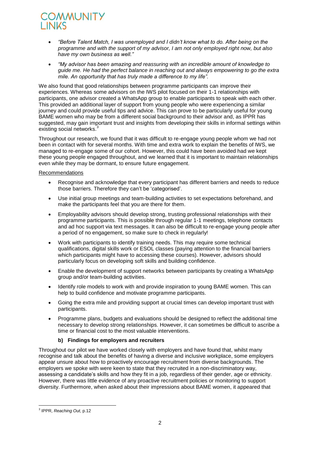- *"Before Talent Match, I was unemployed and I didn't know what to do. After being on the programme and with the support of my advisor, I am not only employed right now, but also have my own business as well."*
- *"My advisor has been amazing and reassuring with an incredible amount of knowledge to guide me. He had the perfect balance in reaching out and always empowering to go the extra mile. An opportunity that has truly made a difference to my life".*

We also found that good relationships between programme participants can improve their experiences. Whereas some advisors on the IWS pilot focused on their 1-1 relationships with participants, one advisor created a WhatsApp group to enable participants to speak with each other. This provided an additional layer of support from young people who were experiencing a similar journey and could provide useful tips and advice. This can prove to be particularly useful for young BAME women who may be from a different social background to their advisor and, as IPPR has suggested, may gain important trust and insights from developing their skills in informal settings within existing social networks.<sup>3</sup>

Throughout our research, we found that it was difficult to re-engage young people whom we had not been in contact with for several months. With time and extra work to explain the benefits of IWS, we managed to re-engage some of our cohort. However, this could have been avoided had we kept these young people engaged throughout, and we learned that it is important to maintain relationships even while they may be dormant, to ensure future engagement.

#### **Recommendations**

- Recognise and acknowledge that every participant has different barriers and needs to reduce those barriers. Therefore they can't be 'categorised'.
- Use initial group meetings and team-building activities to set expectations beforehand, and make the participants feel that you are there for them.
- Employability advisors should develop strong, trusting professional relationships with their programme participants. This is possible through regular 1-1 meetings, telephone contacts and ad hoc support via text messages. It can also be difficult to re-engage young people after a period of no engagement, so make sure to check in regularly!
- Work with participants to identify training needs. This may require some technical qualifications, digital skills work or ESOL classes (paying attention to the financial barriers which participants might have to accessing these courses). However, advisors should particularly focus on developing soft skills and building confidence.
- Enable the development of support networks between participants by creating a WhatsApp group and/or team-building activities.
- Identify role models to work with and provide inspiration to young BAME women. This can help to build confidence and motivate programme participants.
- Going the extra mile and providing support at crucial times can develop important trust with participants.
- Programme plans, budgets and evaluations should be designed to reflect the additional time necessary to develop strong relationships. However, it can sometimes be difficult to ascribe a time or financial cost to the most valuable interventions.

### **b) Findings for employers and recruiters**

Throughout our pilot we have worked closely with employers and have found that, whilst many recognise and talk about the benefits of having a diverse and inclusive workplace, some employers appear unsure about how to proactively encourage recruitment from diverse backgrounds. The employers we spoke with were keen to state that they recruited in a non-discriminatory way, assessing a candidate's skills and how they fit in a job, regardless of their gender, age or ethnicity. However, there was little evidence of any proactive recruitment policies or monitoring to support diversity. Furthermore, when asked about their impressions about BAME women, it appeared that

 3 IPPR, *Reaching Out*, p.12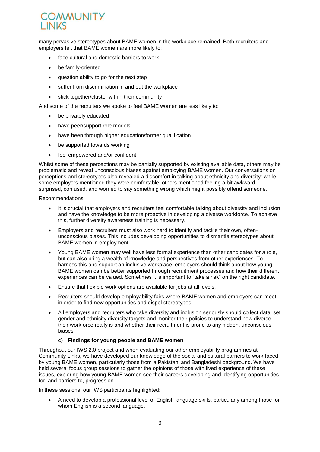many pervasive stereotypes about BAME women in the workplace remained. Both recruiters and employers felt that BAME women are more likely to:

- face cultural and domestic barriers to work
- be family-oriented
- question ability to go for the next step
- suffer from discrimination in and out the workplace
- stick together/cluster within their community

And some of the recruiters we spoke to feel BAME women are less likely to:

- be privately educated
- have peer/support role models
- have been through higher education/former qualification
- be supported towards working
- feel empowered and/or confident

Whilst some of these perceptions may be partially supported by existing available data, others may be problematic and reveal unconscious biases against employing BAME women. Our conversations on perceptions and stereotypes also revealed a discomfort in talking about ethnicity and diversity: while some employers mentioned they were comfortable, others mentioned feeling a bit awkward, surprised, confused, and worried to say something wrong which might possibly offend someone.

#### Recommendations

- It is crucial that employers and recruiters feel comfortable talking about diversity and inclusion and have the knowledge to be more proactive in developing a diverse workforce. To achieve this, further diversity awareness training is necessary.
- Employers and recruiters must also work hard to identify and tackle their own, oftenunconscious biases. This includes developing opportunities to dismantle stereotypes about BAME women in employment.
- Young BAME women may well have less formal experience than other candidates for a role, but can also bring a wealth of knowledge and perspectives from other experiences. To harness this and support an inclusive workplace, employers should think about how young BAME women can be better supported through recruitment processes and how their different experiences can be valued. Sometimes it is important to "take a risk" on the right candidate.
- Ensure that flexible work options are available for jobs at all levels.
- Recruiters should develop employability fairs where BAME women and employers can meet in order to find new opportunities and dispel stereotypes.
- All employers and recruiters who take diversity and inclusion seriously should collect data, set gender and ethnicity diversity targets and monitor their policies to understand how diverse their workforce really is and whether their recruitment is prone to any hidden, unconscious biases.

### **c) Findings for young people and BAME women**

Throughout our IWS 2.0 project and when evaluating our other employability programmes at Community Links, we have developed our knowledge of the social and cultural barriers to work faced by young BAME women, particularly those from a Pakistani and Bangladeshi background. We have held several focus group sessions to gather the opinions of those with lived experience of these issues, exploring how young BAME women see their careers developing and identifying opportunities for, and barriers to, progression.

In these sessions, our IWS participants highlighted:

 A need to develop a professional level of English language skills, particularly among those for whom English is a second language.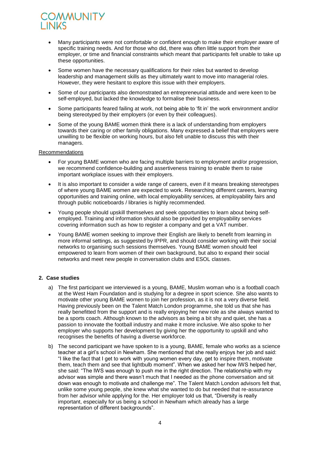- Many participants were not comfortable or confident enough to make their employer aware of specific training needs. And for those who did, there was often little support from their employer, or time and financial constraints which meant that participants felt unable to take up these opportunities.
- Some women have the necessary qualifications for their roles but wanted to develop leadership and management skills as they ultimately want to move into managerial roles. However, they were hesitant to explore this issue with their employers.
- Some of our participants also demonstrated an entrepreneurial attitude and were keen to be self-employed, but lacked the knowledge to formalise their business.
- Some participants feared failing at work, not being able to 'fit in' the work environment and/or being stereotyped by their employers (or even by their colleagues).
- Some of the young BAME women think there is a lack of understanding from employers towards their caring or other family obligations. Many expressed a belief that employers were unwilling to be flexible on working hours, but also felt unable to discuss this with their managers.

#### Recommendations

- For young BAME women who are facing multiple barriers to employment and/or progression, we recommend confidence-building and assertiveness training to enable them to raise important workplace issues with their employers.
- It is also important to consider a wide range of careers, even if it means breaking stereotypes of where young BAME women are expected to work. Researching different careers, learning opportunities and training online, with local employability services, at employability fairs and through public noticeboards / libraries is highly recommended.
- Young people should upskill themselves and seek opportunities to learn about being selfemployed. Training and information should also be provided by employability services covering information such as how to register a company and get a VAT number.
- Young BAME women seeking to improve their English are likely to benefit from learning in more informal settings, as suggested by IPPR, and should consider working with their social networks to organising such sessions themselves. Young BAME women should feel empowered to learn from women of their own background, but also to expand their social networks and meet new people in conversation clubs and ESOL classes.

### **2. Case studies**

- a) The first participant we interviewed is a young, BAME, Muslim woman who is a football coach at the West Ham Foundation and is studying for a degree in sport science. She also wants to motivate other young BAME women to join her profession, as it is not a very diverse field. Having previously been on the Talent Match London programme, she told us that she has really benefitted from the support and is really enjoying her new role as she always wanted to be a sports coach. Although known to the advisors as being a bit shy and quiet, she has a passion to innovate the football industry and make it more inclusive. We also spoke to her employer who supports her development by giving her the opportunity to upskill and who recognises the benefits of having a diverse workforce.
- b) The second participant we have spoken to is a young, BAME, female who works as a science teacher at a girl's school in Newham. She mentioned that she really enjoys her job and said: "I like the fact that I get to work with young women every day, get to inspire them, motivate them, teach them and see that lightbulb moment". When we asked her how IWS helped her, she said: "The IWS was enough to push me in the right direction. The relationship with my advisor was simple and there wasn't much that I needed as the phone conversation and sit down was enough to motivate and challenge me". The Talent Match London advisors felt that, unlike some young people, she knew what she wanted to do but needed that re-assurance from her advisor while applying for the. Her employer told us that, "Diversity is really important, especially for us being a school in Newham which already has a large representation of different backgrounds".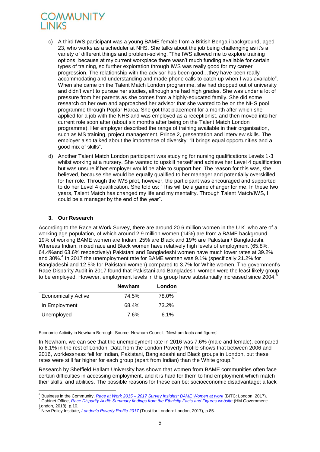- c) A third IWS participant was a young BAME female from a British Bengali background, aged 23, who works as a scheduler at NHS. She talks about the job being challenging as it's a variety of different things and problem-solving. "The IWS allowed me to explore training options, because at my current workplace there wasn't much funding available for certain types of training, so further exploration through IWS was really good for my career progression. The relationship with the advisor has been good…they have been really accommodating and understanding and made phone calls to catch up when I was available". When she came on the Talent Match London programme, she had dropped out of university and didn't want to pursue her studies, although she had high grades. She was under a lot of pressure from her parents as she comes from a highly-educated family. She did some research on her own and approached her advisor that she wanted to be on the NHS pool programme through Poplar Harca. She got that placement for a month after which she applied for a job with the NHS and was employed as a receptionist, and then moved into her current role soon after (about six months after being on the Talent Match London programme). Her employer described the range of training available in their organisation, such as MS training, project management, Prince 2, presentation and interview skills. The employer also talked about the importance of diversity: "It brings equal opportunities and a good mix of skills".
- d) Another Talent Match London participant was studying for nursing qualifications Levels 1-3 whilst working at a nursery. She wanted to upskill herself and achieve her Level 4 qualification but was unsure if her employer would be able to support her. The reason for this was, she believed, because she would be equally qualified to her manager and potentially overskilled for her role. Through the IWS pilot, however, the participant was encouraged and supported to do her Level 4 qualification. She told us: "This will be a game changer for me. In these two years, Talent Match has changed my life and my mentality. Through Talent Match/IWS, I could be a manager by the end of the year".

### **3. Our Research**

According to the Race at Work Survey, there are around 20.6 million women in the U.K. who are of a working age population, of which around 2.9 million women (14%) are from a BAME background. 19% of working BAME women are Indian, 25% are Black and 19% are Pakistani / Bangladeshi. Whereas Indian, mixed race and Black women have relatively high levels of employment (65.8%, 64.4%and 63.6% respectively) Pakistani and Bangladeshi women have much lower rates at 39.2% and 30%.<sup>4</sup> In 2017 the unemployment rate for BAME women was 9.1% (specifically 21.2% for Bangladeshi and 12.5% for Pakistani women) compared to 3.7% for White women. The government's Race Disparity Audit in 2017 found that Pakistani and Bangladeshi women were the least likely group to be employed. However, employment levels in this group have substantially increased since 2004.

|                            | <b>Newham</b> | London |
|----------------------------|---------------|--------|
| <b>Economically Active</b> | 74.5%         | 78.0%  |
| In Employment              | 68.4%         | 73.2%  |
| Unemployed                 | 7.6%          | 6.1%   |

Economic Activity in Newham Borough. Source: Newham Council, 'Newham facts and figures'.

In Newham, we can see that the unemployment rate in 2016 was 7.6% (male and female), compared to 6.1% in the rest of London. Data from the London Poverty Profile shows that between 2006 and 2016, worklessness fell for Indian, Pakistani, Bangladeshi and Black groups in London, but these rates were still far higher for each group (apart from Indian) than the White group.<sup>6</sup>

Research by Sheffield Hallam University has shown that women from BAME communities often face certain difficulties in accessing employment, and it is hard for them to find employment which match their skills, and abilities. The possible reasons for these can be: socioeconomic disadvantage; a lack

<sup>5</sup> Cabinet Office, *[Race Disparity Audit: Summary findings from the Ethnicity Facts and Figures website](https://assets.publishing.service.gov.uk/government/uploads/system/uploads/attachment_data/file/686071/Revised_RDA_report_March_2018.pdf)* (HM Government: London, 2018), p.10.

**<sup>.</sup>** <sup>4</sup> Business in the Community, *Race at Work 2015 – [2017 Survey Insights: BAME Women at work](https://race.bitc.org.uk/sites/default/files/bame_women_at_work_2017.pdf)* (BITC: London, 2017).

<sup>6</sup> New Policy Institute, *[London's Poverty Profile 2017](https://www.trustforlondon.org.uk/publications/londons-poverty-profile-2017/)* (Trust for London: London, 2017), p.85.